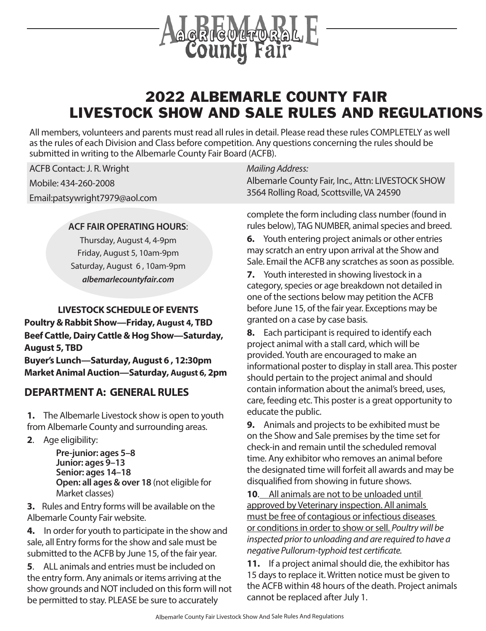

# 2022 ALBEMARLE COUNTY FAIR LIVESTOCK SHOW AND SALE RULES AND REGULATIONS

All members, volunteers and parents must read all rules in detail. Please read these rules COMPLETELY as well as the rules of each Division and Class before competition. Any questions concerning the rules should be submitted in writing to the Albemarle County Fair Board (ACFB).

ACFB Contact: J. R. Wright

Mobile: 434-260-2008

Email:patsywright7979@aol.com

#### **ACF FAIR OPERATING HOURS**:

Thursday, August 4, 4-9pm Friday, August 5, 10am-9pm Saturday, August 6 , 10am-9pm *albemarlecountyfair.com*

#### **LIVESTOCK SCHEDULE OF EVENTS**

**Poultry & Rabbit Show—Friday, August 4, TBD Beef Cattle, Dairy Cattle & Hog Show—Saturday, August 5, TBD Buyer's Lunch—Saturday, August 6 , 12:30pm Market Animal Auction—Saturday, August 6, 2pm**

#### **DEPARTMENT A: GENERAL RULES**

**1.** The Albemarle Livestock show is open to youth from Albemarle County and surrounding areas.

**2**. Age eligibility:

**Pre-junior: ages 5–8 Junior: ages 9–13 Senior: ages 14–18 Open: all ages & over 18** (not eligible for Market classes)

**3.** Rules and Entry forms will be available on the Albemarle County Fair website.

**4.** In order for youth to participate in the show and sale, all Entry forms for the show and sale must be submitted to the ACFB by June 15, of the fair year.

**5**. ALL animals and entries must be included on the entry form. Any animals or items arriving at the show grounds and NOT included on this form will not be permitted to stay. PLEASE be sure to accurately

#### *Mailing Address:*

Albemarle County Fair, Inc., Attn: LIVESTOCK SHOW 3564 Rolling Road, Scottsville, VA 24590

complete the form including class number (found in rules below), TAG NUMBER, animal species and breed.

**6.** Youth entering project animals or other entries may scratch an entry upon arrival at the Show and Sale. Email the ACFB any scratches as soon as possible.

**7.** Youth interested in showing livestock in a category, species or age breakdown not detailed in one of the sections below may petition the ACFB before June 15, of the fair year. Exceptions may be granted on a case by case basis.

**8.** Each participant is required to identify each project animal with a stall card, which will be provided. Youth are encouraged to make an informational poster to display in stall area. This poster should pertain to the project animal and should contain information about the animal's breed, uses, care, feeding etc. This poster is a great opportunity to educate the public.

**9.** Animals and projects to be exhibited must be on the Show and Sale premises by the time set for check-in and remain until the scheduled removal time. Any exhibitor who removes an animal before the designated time will forfeit all awards and may be disqualified from showing in future shows.

**10**. All animals are not to be unloaded until approved by Veterinary inspection. All animals must be free of contagious or infectious diseases or conditions in order to show or sell. *Poultry will be inspected prior to unloading and are required to have a negative Pullorum-typhoid test certificate.* 

**11.** If a project animal should die, the exhibitor has 15 days to replace it. Written notice must be given to the ACFB within 48 hours of the death. Project animals cannot be replaced after July 1.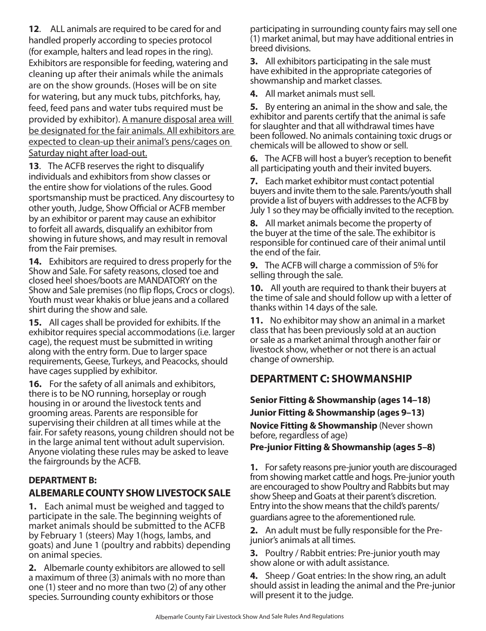**12**. ALL animals are required to be cared for and handled properly according to species protocol (for example, halters and lead ropes in the ring). Exhibitors are responsible for feeding, watering and cleaning up after their animals while the animals are on the show grounds. (Hoses will be on site for watering, but any muck tubs, pitchforks, hay, feed, feed pans and water tubs required must be provided by exhibitor). A manure disposal area will be designated for the fair animals. All exhibitors are expected to clean-up their animal's pens/cages on Saturday night after load-out.

**13**. The ACFB reserves the right to disqualify individuals and exhibitors from show classes or the entire show for violations of the rules. Good sportsmanship must be practiced. Any discourtesy to other youth, Judge, Show Official or ACFB member by an exhibitor or parent may cause an exhibitor to forfeit all awards, disqualify an exhibitor from showing in future shows, and may result in removal from the Fair premises.

**14.** Exhibitors are required to dress properly for the Show and Sale. For safety reasons, closed toe and closed heel shoes/boots are MANDATORY on the Show and Sale premises (no flip flops, Crocs or clogs). Youth must wear khakis or blue jeans and a collared shirt during the show and sale.

**15.** All cages shall be provided for exhibits. If the exhibitor requires special accommodations (i.e. larger cage), the request must be submitted in writing along with the entry form. Due to larger space requirements, Geese, Turkeys, and Peacocks, should have cages supplied by exhibitor.

**16.** For the safety of all animals and exhibitors, there is to be NO running, horseplay or rough housing in or around the livestock tents and grooming areas. Parents are responsible for supervising their children at all times while at the fair. For safety reasons, young children should not be in the large animal tent without adult supervision. Anyone violating these rules may be asked to leave the fairgrounds by the ACFB.

#### **DEPARTMENT B: ALBEMARLE COUNTY SHOW LIVESTOCK SALE**

**1.** Each animal must be weighed and tagged to participate in the sale. The beginning weights of market animals should be submitted to the ACFB by February 1 (steers) May 1(hogs, lambs, and goats) and June 1 (poultry and rabbits) depending on animal species.

**2.** Albemarle county exhibitors are allowed to sell a maximum of three (3) animals with no more than one (1) steer and no more than two (2) of any other species. Surrounding county exhibitors or those

participating in surrounding county fairs may sell one (1) market animal, but may have additional entries in breed divisions.

**3.** All exhibitors participating in the sale must have exhibited in the appropriate categories of showmanship and market classes.

**4.** All market animals must sell.

**5.** By entering an animal in the show and sale, the exhibitor and parents certify that the animal is safe for slaughter and that all withdrawal times have been followed. No animals containing toxic drugs or chemicals will be allowed to show or sell.

**6.** The ACFB will host a buyer's reception to benefit all participating youth and their invited buyers.

**7.** Each market exhibitor must contact potential buyers and invite them to the sale. Parents/youth shall provide a list of buyers with addresses to the ACFB by July 1 so they may be officially invited to the reception.

**8.** All market animals become the property of the buyer at the time of the sale. The exhibitor is responsible for continued care of their animal until the end of the fair.

**9.** The ACFB will charge a commission of 5% for selling through the sale.

**10.** All youth are required to thank their buyers at the time of sale and should follow up with a letter of thanks within 14 days of the sale.

**11.** No exhibitor may show an animal in a market class that has been previously sold at an auction or sale as a market animal through another fair or livestock show, whether or not there is an actual change of ownership.

## **DEPARTMENT C: SHOWMANSHIP**

**Senior Fitting & Showmanship (ages 14–18) Junior Fitting & Showmanship (ages 9–13)**

**Novice Fitting & Showmanship** (Never shown before, regardless of age)

**Pre-junior Fitting & Showmanship (ages 5–8)**

**1.** For safety reasons pre-junior youth are discouraged from showing market cattle and hogs. Pre-junior youth are encouraged to show Poultry and Rabbits but may show Sheep and Goats at their parent's discretion. Entry into the show means that the child's parents/ guardians agree to the aforementioned rule.

**2.** An adult must be fully responsible for the Prejunior's animals at all times.

**3.** Poultry / Rabbit entries: Pre-junior youth may show alone or with adult assistance.

**4.** Sheep / Goat entries: In the show ring, an adult should assist in leading the animal and the Pre-junior will present it to the judge.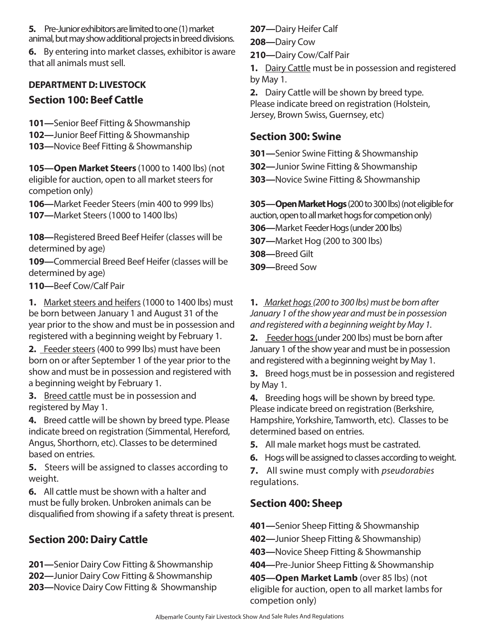**5.** Pre-Junior exhibitors are limited to one (1) market animal, but may show additional projects in breed divisions.

**6.** By entering into market classes, exhibitor is aware that all animals must sell.

#### **DEPARTMENT D: LIVESTOCK**

## **Section 100: Beef Cattle**

- **101—**Senior Beef Fitting & Showmanship
- **102—**Junior Beef Fitting & Showmanship
- **103—**Novice Beef Fitting & Showmanship

**105—Open Market Steers** (1000 to 1400 lbs) (not eligible for auction, open to all market steers for competion only)

**106—**Market Feeder Steers (min 400 to 999 lbs) **107—**Market Steers (1000 to 1400 lbs)

**108—**Registered Breed Beef Heifer (classes will be determined by age)

**109—**Commercial Breed Beef Heifer (classes will be determined by age)

**110—**Beef Cow/Calf Pair

**1.** Market steers and heifers (1000 to 1400 lbs) must be born between January 1 and August 31 of the year prior to the show and must be in possession and registered with a beginning weight by February 1.

**2.** Feeder steers (400 to 999 lbs) must have been born on or after September 1 of the year prior to the show and must be in possession and registered with a beginning weight by February 1.

**3.** Breed cattle must be in possession and registered by May 1.

**4.** Breed cattle will be shown by breed type. Please indicate breed on registration (Simmental, Hereford, Angus, Shorthorn, etc). Classes to be determined based on entries.

**5.** Steers will be assigned to classes according to weight.

**6.** All cattle must be shown with a halter and must be fully broken. Unbroken animals can be disqualified from showing if a safety threat is present.

### **Section 200: Dairy Cattle**

**201—**Senior Dairy Cow Fitting & Showmanship **202—**Junior Dairy Cow Fitting & Showmanship **203—**Novice Dairy Cow Fitting & Showmanship **207—**Dairy Heifer Calf

- **208—**Dairy Cow
- **210—**Dairy Cow/Calf Pair

**1.** Dairy Cattle must be in possession and registered by May 1.

**2.** Dairy Cattle will be shown by breed type.

Please indicate breed on registration (Holstein, Jersey, Brown Swiss, Guernsey, etc)

### **Section 300: Swine**

- **301—**Senior Swine Fitting & Showmanship
- **302—**Junior Swine Fitting & Showmanship
- **303—**Novice Swine Fitting & Showmanship

**305—Open Market Hogs** (200 to 300 lbs) (not eligible for auction, open to all market hogs for competion only)

**306—**Market Feeder Hogs (under 200 lbs)

- **307—**Market Hog (200 to 300 lbs)
- **308—**Breed Gilt

**309—**Breed Sow

**1.** *Market hogs (200 to 300 lbs) must be born after January 1 of the show year and must be in possession and registered with a beginning weight by May 1.*

**2.** Feeder hogs (under 200 lbs) must be born after January 1 of the show year and must be in possession and registered with a beginning weight by May 1.

**3.** Breed hogs must be in possession and registered by May 1.

**4.** Breeding hogs will be shown by breed type. Please indicate breed on registration (Berkshire, Hampshire, Yorkshire, Tamworth, etc). Classes to be determined based on entries.

- **5.** All male market hogs must be castrated.
- **6.** Hogs will be assigned to classes according to weight.

**7.** All swine must comply with *pseudorabies* regulations.

### **Section 400: Sheep**

**401—**Senior Sheep Fitting & Showmanship

- **402—**Junior Sheep Fitting & Showmanship)
- **403—**Novice Sheep Fitting & Showmanship
- **404—**Pre-Junior Sheep Fitting & Showmanship

**405—Open Market Lamb** (over 85 lbs) (not eligible for auction, open to all market lambs for competion only)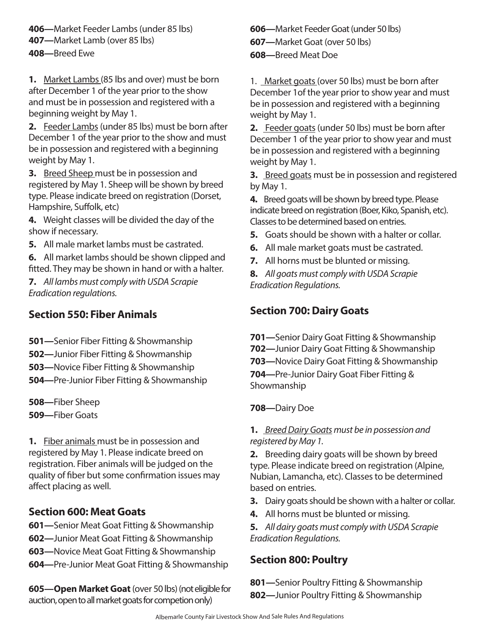**406—**Market Feeder Lambs (under 85 lbs) **407—**Market Lamb (over 85 lbs) **408—**Breed Ewe

**1.** Market Lambs (85 lbs and over) must be born after December 1 of the year prior to the show and must be in possession and registered with a beginning weight by May 1.

**2.** Feeder Lambs (under 85 lbs) must be born after December 1 of the year prior to the show and must be in possession and registered with a beginning weight by May 1.

**3.** Breed Sheep must be in possession and registered by May 1. Sheep will be shown by breed type. Please indicate breed on registration (Dorset, Hampshire, Suffolk, etc)

**4.** Weight classes will be divided the day of the show if necessary.

**5.** All male market lambs must be castrated.

**6.** All market lambs should be shown clipped and fitted. They may be shown in hand or with a halter.

**7.** *All lambs must comply with USDA Scrapie Eradication regulations.*

#### **Section 550: Fiber Animals**

- **501—**Senior Fiber Fitting & Showmanship
- **502—**Junior Fiber Fitting & Showmanship
- **503—**Novice Fiber Fitting & Showmanship
- **504—**Pre-Junior Fiber Fitting & Showmanship

**508—**Fiber Sheep

**509—**Fiber Goats

**1.** Fiber animals must be in possession and registered by May 1. Please indicate breed on registration. Fiber animals will be judged on the quality of fiber but some confirmation issues may affect placing as well.

### **Section 600: Meat Goats**

- **601—**Senior Meat Goat Fitting & Showmanship
- **602—**Junior Meat Goat Fitting & Showmanship
- **603—**Novice Meat Goat Fitting & Showmanship
- **604—**Pre-Junior Meat Goat Fitting & Showmanship

**605—Open Market Goat** (over 50 lbs) (not eligible for auction, open to all market goats for competion only)

**606—**Market Feeder Goat (under 50 lbs) **607—**Market Goat (over 50 lbs) **608—**Breed Meat Doe

1. Market goats (over 50 lbs) must be born after December 1of the year prior to show year and must be in possession and registered with a beginning weight by May 1.

**2.** Feeder goats (under 50 lbs) must be born after December 1 of the year prior to show year and must be in possession and registered with a beginning weight by May 1.

**3.** Breed goats must be in possession and registered by May 1.

**4.** Breed goats will be shown by breed type. Please indicate breed on registration (Boer, Kiko, Spanish, etc). Classes to be determined based on entries.

- **5.** Goats should be shown with a halter or collar.
- **6.** All male market goats must be castrated.
- **7.** All horns must be blunted or missing.

**8.** *All goats must comply with USDA Scrapie Eradication Regulations.*

## **Section 700: Dairy Goats**

**701—**Senior Dairy Goat Fitting & Showmanship **702—**Junior Dairy Goat Fitting & Showmanship **703—**Novice Dairy Goat Fitting & Showmanship **704—**Pre-Junior Dairy Goat Fiber Fitting & Showmanship

**708—**Dairy Doe

#### **1.** *Breed Dairy Goats must be in possession and registered by May 1.*

**2.** Breeding dairy goats will be shown by breed type. Please indicate breed on registration (Alpine, Nubian, Lamancha, etc). Classes to be determined based on entries.

- **3.** Dairy goats should be shown with a halter or collar.
- **4.** All horns must be blunted or missing.

**5.** *All dairy goats must comply with USDA Scrapie Eradication Regulations.*

## **Section 800: Poultry**

**801—**Senior Poultry Fitting & Showmanship **802—**Junior Poultry Fitting & Showmanship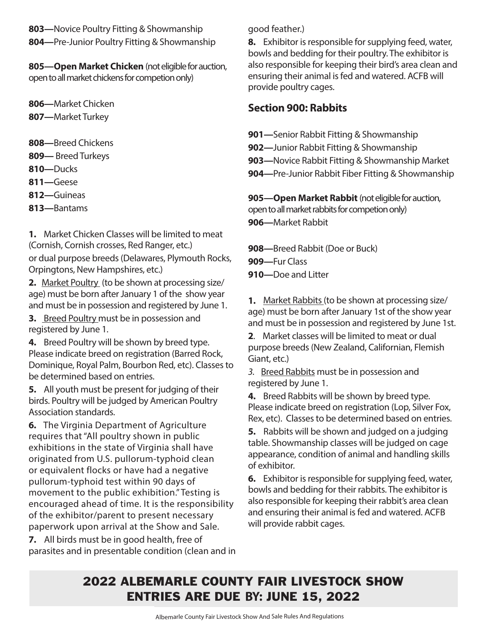**803—**Novice Poultry Fitting & Showmanship **804—**Pre-Junior Poultry Fitting & Showmanship

**805—Open Market Chicken** (not eligible for auction, open to all market chickens for competion only)

**806—**Market Chicken

- **807—**Market Turkey
- **808—**Breed Chickens
- **809—** Breed Turkeys
- **810—**Ducks
- **811—**Geese
- **812—**Guineas
- **813—**Bantams

**1.** Market Chicken Classes will be limited to meat (Cornish, Cornish crosses, Red Ranger, etc.) or dual purpose breeds (Delawares, Plymouth Rocks, Orpingtons, New Hampshires, etc.)

**2.** Market Poultry (to be shown at processing size/ age) must be born after January 1 of the show year and must be in possession and registered by June 1.

**3.** Breed Poultry must be in possession and registered by June 1.

**4.** Breed Poultry will be shown by breed type. Please indicate breed on registration (Barred Rock, Dominique, Royal Palm, Bourbon Red, etc). Classes to be determined based on entries.

**5.** All youth must be present for judging of their birds. Poultry will be judged by American Poultry Association standards.

**6.** The Virginia Department of Agriculture requires that "All poultry shown in public exhibitions in the state of Virginia shall have originated from U.S. pullorum-typhoid clean or equivalent flocks or have had a negative pullorum-typhoid test within 90 days of movement to the public exhibition." Testing is encouraged ahead of time. It is the responsibility of the exhibitor/parent to present necessary paperwork upon arrival at the Show and Sale.

**7.** All birds must be in good health, free of parasites and in presentable condition (clean and in good feather.)

**8.** Exhibitor is responsible for supplying feed, water, bowls and bedding for their poultry. The exhibitor is also responsible for keeping their bird's area clean and ensuring their animal is fed and watered. ACFB will provide poultry cages.

## **Section 900: Rabbits**

**901—**Senior Rabbit Fitting & Showmanship **902—**Junior Rabbit Fitting & Showmanship **903—**Novice Rabbit Fitting & Showmanship Market **904—**Pre-Junior Rabbit Fiber Fitting & Showmanship

**905—Open Market Rabbit** (not eligible for auction, open to all market rabbits for competion only) **906—**Market Rabbit

**908—**Breed Rabbit (Doe or Buck)

- **909—**Fur Class
- **910—**Doe and Litter

**1.** Market Rabbits (to be shown at processing size/ age) must be born after January 1st of the show year and must be in possession and registered by June 1st.

**2**. Market classes will be limited to meat or dual purpose breeds (New Zealand, Californian, Flemish Giant, etc.)

*3.* Breed Rabbits must be in possession and registered by June 1.

**4.** Breed Rabbits will be shown by breed type. Please indicate breed on registration (Lop, Silver Fox, Rex, etc). Classes to be determined based on entries.

**5.** Rabbits will be shown and judged on a judging table. Showmanship classes will be judged on cage appearance, condition of animal and handling skills of exhibitor.

**6.** Exhibitor is responsible for supplying feed, water, bowls and bedding for their rabbits. The exhibitor is also responsible for keeping their rabbit's area clean and ensuring their animal is fed and watered. ACFB will provide rabbit cages.

# 2022 ALBEMARLE COUNTY FAIR LIVESTOCK SHOW ENTRIES ARE DUE **BY:** JUNE 15, 2022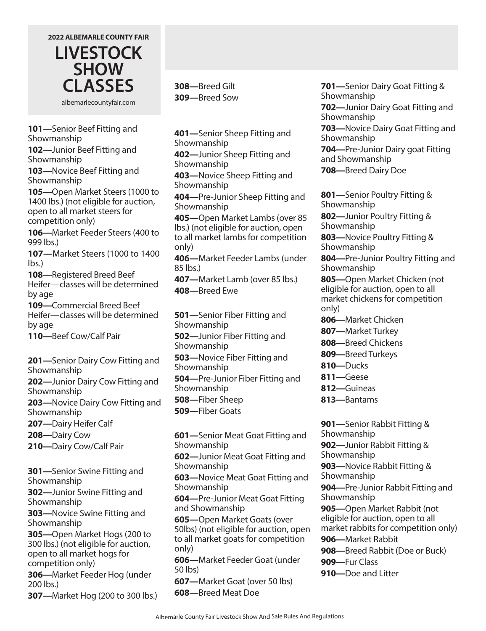

albemarlecountyfair.com

**101—**Senior Beef Fitting and Showmanship

**102—**Junior Beef Fitting and Showmanship

**103—**Novice Beef Fitting and Showmanship

**105—**Open Market Steers (1000 to 1400 lbs.) (not eligible for auction, open to all market steers for competition only)

**106—**Market Feeder Steers (400 to 999 lbs.)

**107—**Market Steers (1000 to 1400 lbs.)

**108—**Registered Breed Beef Heifer—classes will be determined by age

**109—**Commercial Breed Beef Heifer—classes will be determined by age

**110—**Beef Cow/Calf Pair

**201—**Senior Dairy Cow Fitting and Showmanship

**202—**Junior Dairy Cow Fitting and Showmanship

**203—**Novice Dairy Cow Fitting and Showmanship

**207—**Dairy Heifer Calf

**208—**Dairy Cow

**210—**Dairy Cow/Calf Pair

**301—**Senior Swine Fitting and Showmanship

**302—**Junior Swine Fitting and Showmanship

**303—**Novice Swine Fitting and Showmanship

**305—**Open Market Hogs (200 to 300 lbs.) (not eligible for auction, open to all market hogs for competition only)

**306—**Market Feeder Hog (under 200 lbs.)

**307—**Market Hog (200 to 300 lbs.)

**308—**Breed Gilt **309—**Breed Sow

**401—**Senior Sheep Fitting and Showmanship

**402—**Junior Sheep Fitting and Showmanship

**403—**Novice Sheep Fitting and Showmanship

**404—**Pre-Junior Sheep Fitting and Showmanship

**405—**Open Market Lambs (over 85 lbs.) (not eligible for auction, open to all market lambs for competition only)

**406—**Market Feeder Lambs (under 85 lbs.)

**407—**Market Lamb (over 85 lbs.) **408—**Breed Ewe

**501—**Senior Fiber Fitting and Showmanship **502—**Junior Fiber Fitting and Showmanship **503—**Novice Fiber Fitting and Showmanship

**504—**Pre-Junior Fiber Fitting and Showmanship

**508—**Fiber Sheep **509—**Fiber Goats

**601—**Senior Meat Goat Fitting and Showmanship

**602—**Junior Meat Goat Fitting and Showmanship

**603—**Novice Meat Goat Fitting and Showmanship

**604—**Pre-Junior Meat Goat Fitting and Showmanship

**605—**Open Market Goats (over 50lbs) (not eligible for auction, open to all market goats for competition only)

**606—**Market Feeder Goat (under 50 lbs)

**607—**Market Goat (over 50 lbs) **608—**Breed Meat Doe

**701—**Senior Dairy Goat Fitting & Showmanship

**702—**Junior Dairy Goat Fitting and Showmanship

**703—**Novice Dairy Goat Fitting and Showmanship

**704—**Pre-Junior Dairy goat Fitting and Showmanship

**708—**Breed Dairy Doe

**801—**Senior Poultry Fitting & Showmanship

**802—**Junior Poultry Fitting & Showmanship

**803—**Novice Poultry Fitting & Showmanship

**804—**Pre-Junior Poultry Fitting and Showmanship

**805—**Open Market Chicken (not eligible for auction, open to all market chickens for competition only)

- **806—**Market Chicken
- **807—**Market Turkey
- **808—**Breed Chickens
- **809—**Breed Turkeys
- **810—**Ducks
- **811—**Geese
- **812—**Guineas
- **813—**Bantams

**901—**Senior Rabbit Fitting & Showmanship **902—**Junior Rabbit Fitting & Showmanship **903—**Novice Rabbit Fitting & Showmanship **904—**Pre-Junior Rabbit Fitting and Showmanship **905—**Open Market Rabbit (not eligible for auction, open to all

market rabbits for competition only)

**906—**Market Rabbit

**908—**Breed Rabbit (Doe or Buck)

**909—**Fur Class

**910—**Doe and Litter